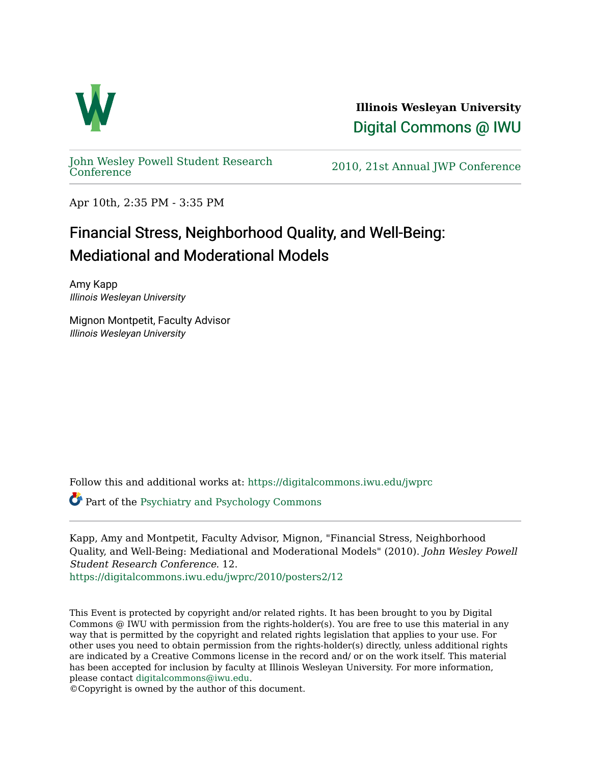

**Illinois Wesleyan University**  [Digital Commons @ IWU](https://digitalcommons.iwu.edu/) 

[John Wesley Powell Student Research](https://digitalcommons.iwu.edu/jwprc) 

2010, 21st Annual JWP [Conference](https://digitalcommons.iwu.edu/jwprc)

Apr 10th, 2:35 PM - 3:35 PM

## Financial Stress, Neighborhood Quality, and Well-Being: Mediational and Moderational Models

Amy Kapp Illinois Wesleyan University

Mignon Montpetit, Faculty Advisor Illinois Wesleyan University

Follow this and additional works at: [https://digitalcommons.iwu.edu/jwprc](https://digitalcommons.iwu.edu/jwprc?utm_source=digitalcommons.iwu.edu%2Fjwprc%2F2010%2Fposters2%2F12&utm_medium=PDF&utm_campaign=PDFCoverPages) 

Part of the [Psychiatry and Psychology Commons](http://network.bepress.com/hgg/discipline/908?utm_source=digitalcommons.iwu.edu%2Fjwprc%2F2010%2Fposters2%2F12&utm_medium=PDF&utm_campaign=PDFCoverPages)

Kapp, Amy and Montpetit, Faculty Advisor, Mignon, "Financial Stress, Neighborhood Quality, and Well-Being: Mediational and Moderational Models" (2010). John Wesley Powell Student Research Conference. 12.

[https://digitalcommons.iwu.edu/jwprc/2010/posters2/12](https://digitalcommons.iwu.edu/jwprc/2010/posters2/12?utm_source=digitalcommons.iwu.edu%2Fjwprc%2F2010%2Fposters2%2F12&utm_medium=PDF&utm_campaign=PDFCoverPages) 

This Event is protected by copyright and/or related rights. It has been brought to you by Digital Commons @ IWU with permission from the rights-holder(s). You are free to use this material in any way that is permitted by the copyright and related rights legislation that applies to your use. For other uses you need to obtain permission from the rights-holder(s) directly, unless additional rights are indicated by a Creative Commons license in the record and/ or on the work itself. This material has been accepted for inclusion by faculty at Illinois Wesleyan University. For more information, please contact [digitalcommons@iwu.edu.](mailto:digitalcommons@iwu.edu)

©Copyright is owned by the author of this document.